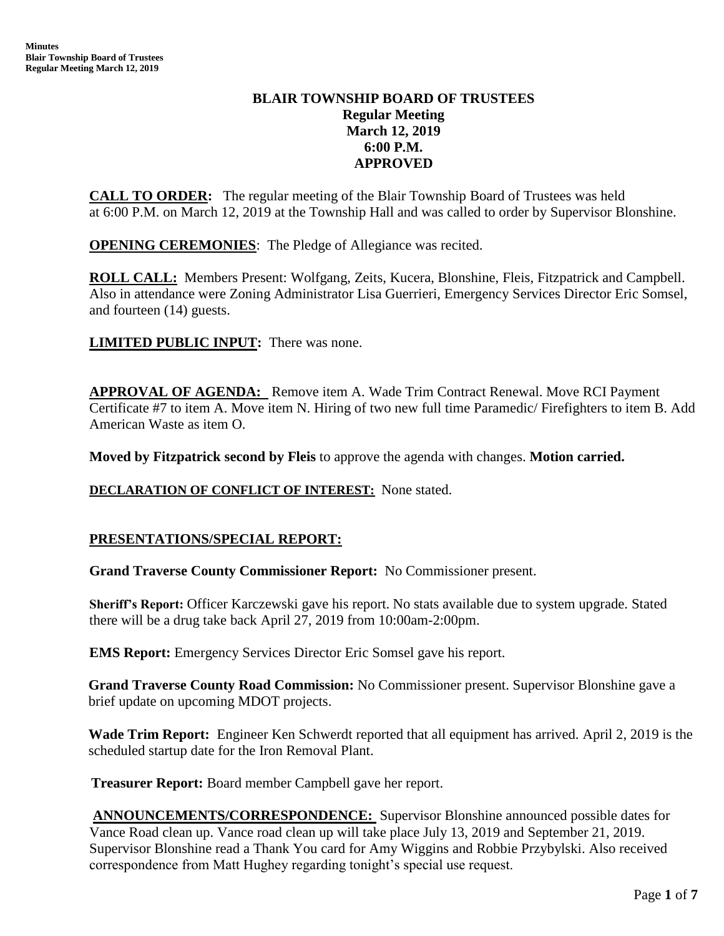# **BLAIR TOWNSHIP BOARD OF TRUSTEES Regular Meeting March 12, 2019 6:00 P.M. APPROVED**

**CALL TO ORDER:** The regular meeting of the Blair Township Board of Trustees was held at 6:00 P.M. on March 12, 2019 at the Township Hall and was called to order by Supervisor Blonshine.

**OPENING CEREMONIES**: The Pledge of Allegiance was recited.

**ROLL CALL:** Members Present: Wolfgang, Zeits, Kucera, Blonshine, Fleis, Fitzpatrick and Campbell. Also in attendance were Zoning Administrator Lisa Guerrieri, Emergency Services Director Eric Somsel, and fourteen (14) guests.

**LIMITED PUBLIC INPUT:** There was none.

**APPROVAL OF AGENDA:** Remove item A. Wade Trim Contract Renewal. Move RCI Payment Certificate #7 to item A. Move item N. Hiring of two new full time Paramedic/ Firefighters to item B. Add American Waste as item O.

**Moved by Fitzpatrick second by Fleis** to approve the agenda with changes. **Motion carried.**

## **DECLARATION OF CONFLICT OF INTEREST:** None stated.

# **PRESENTATIONS/SPECIAL REPORT:**

**Grand Traverse County Commissioner Report:** No Commissioner present.

**Sheriff's Report:** Officer Karczewski gave his report. No stats available due to system upgrade. Stated there will be a drug take back April 27, 2019 from 10:00am-2:00pm.

**EMS Report:** Emergency Services Director Eric Somsel gave his report.

**Grand Traverse County Road Commission:** No Commissioner present. Supervisor Blonshine gave a brief update on upcoming MDOT projects.

**Wade Trim Report:** Engineer Ken Schwerdt reported that all equipment has arrived. April 2, 2019 is the scheduled startup date for the Iron Removal Plant.

 **Treasurer Report:** Board member Campbell gave her report.

**ANNOUNCEMENTS/CORRESPONDENCE:** Supervisor Blonshine announced possible dates for Vance Road clean up. Vance road clean up will take place July 13, 2019 and September 21, 2019. Supervisor Blonshine read a Thank You card for Amy Wiggins and Robbie Przybylski. Also received correspondence from Matt Hughey regarding tonight's special use request.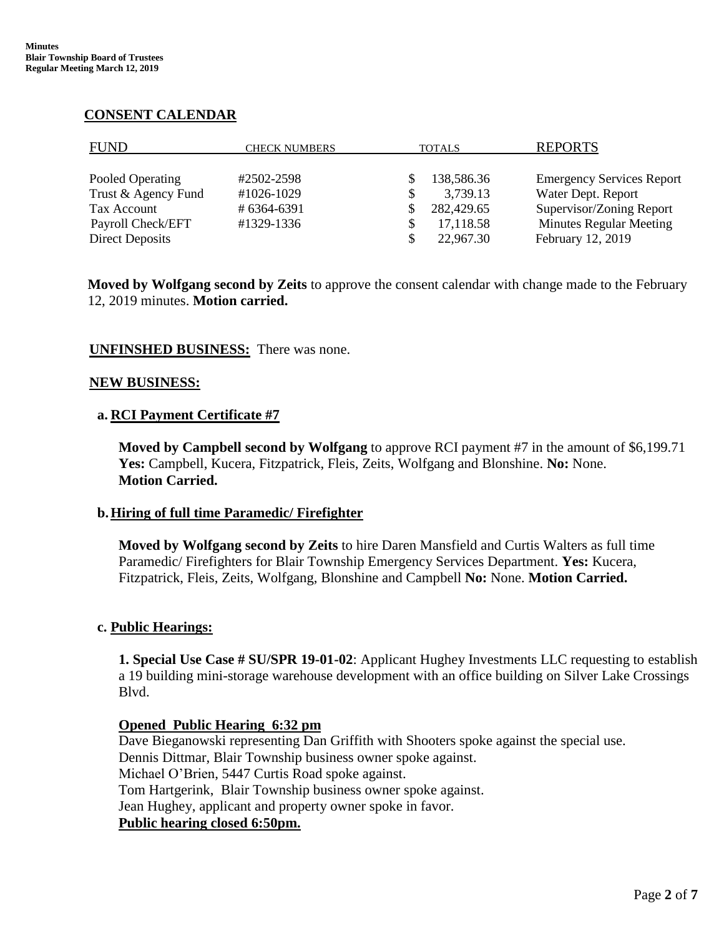## **CONSENT CALENDAR**

| <b>FUND</b>         | <b>CHECK NUMBERS</b> | <b>TOTALS</b> | <b>REPORTS</b>                   |
|---------------------|----------------------|---------------|----------------------------------|
| Pooled Operating    | #2502-2598           | 138,586.36    | <b>Emergency Services Report</b> |
| Trust & Agency Fund | #1026-1029           | 3,739.13      | Water Dept. Report               |
| Tax Account         | #6364-6391           | 282,429.65    | Supervisor/Zoning Report         |
| Payroll Check/EFT   | #1329-1336           | 17,118.58     | <b>Minutes Regular Meeting</b>   |
| Direct Deposits     |                      | 22,967.30     | February 12, 2019                |

**Moved by Wolfgang second by Zeits** to approve the consent calendar with change made to the February 12, 2019 minutes. **Motion carried.**

# **UNFINSHED BUSINESS:** There was none.

#### **NEW BUSINESS:**

#### **a. RCI Payment Certificate #7**

**Moved by Campbell second by Wolfgang** to approve RCI payment #7 in the amount of \$6,199.71 **Yes:** Campbell, Kucera, Fitzpatrick, Fleis, Zeits, Wolfgang and Blonshine. **No:** None. **Motion Carried.**

## **b.Hiring of full time Paramedic/ Firefighter**

**Moved by Wolfgang second by Zeits** to hire Daren Mansfield and Curtis Walters as full time Paramedic/ Firefighters for Blair Township Emergency Services Department. **Yes:** Kucera, Fitzpatrick, Fleis, Zeits, Wolfgang, Blonshine and Campbell **No:** None. **Motion Carried.**

## **c. Public Hearings:**

**1. Special Use Case # SU/SPR 19-01-02**: Applicant Hughey Investments LLC requesting to establish a 19 building mini-storage warehouse development with an office building on Silver Lake Crossings Blvd.

## **Opened Public Hearing 6:32 pm**

Dave Bieganowski representing Dan Griffith with Shooters spoke against the special use. Dennis Dittmar, Blair Township business owner spoke against. Michael O'Brien, 5447 Curtis Road spoke against. Tom Hartgerink, Blair Township business owner spoke against. Jean Hughey, applicant and property owner spoke in favor. **Public hearing closed 6:50pm.**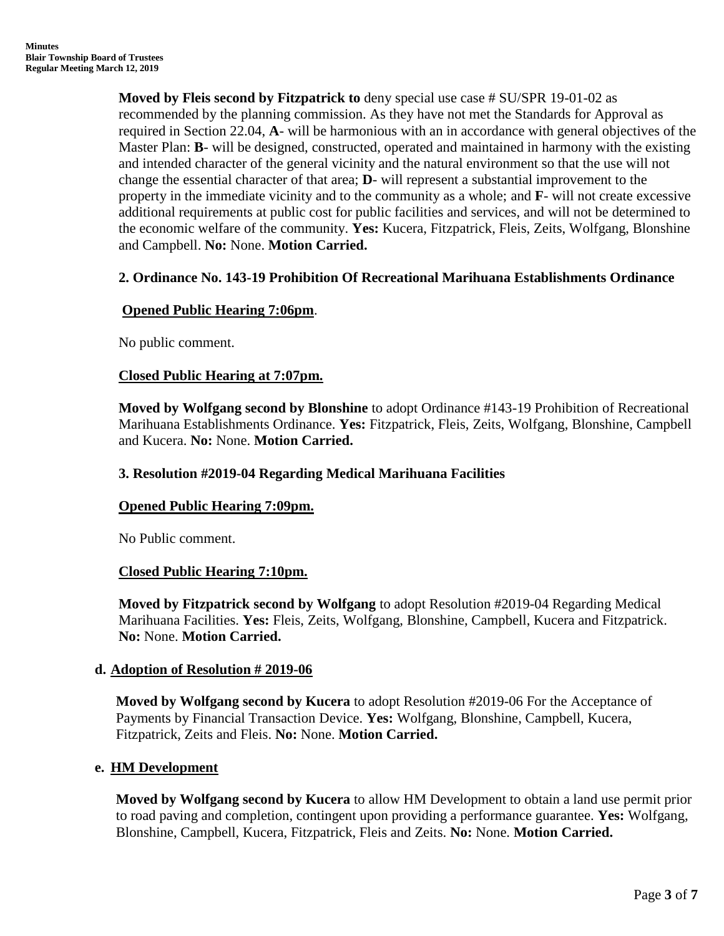**Moved by Fleis second by Fitzpatrick to** deny special use case # SU/SPR 19-01-02 as recommended by the planning commission. As they have not met the Standards for Approval as required in Section 22.04, **A**- will be harmonious with an in accordance with general objectives of the Master Plan: **B**- will be designed, constructed, operated and maintained in harmony with the existing and intended character of the general vicinity and the natural environment so that the use will not change the essential character of that area; **D**- will represent a substantial improvement to the property in the immediate vicinity and to the community as a whole; and **F**- will not create excessive additional requirements at public cost for public facilities and services, and will not be determined to the economic welfare of the community. **Yes:** Kucera, Fitzpatrick, Fleis, Zeits, Wolfgang, Blonshine and Campbell. **No:** None. **Motion Carried.**

## **2. Ordinance No. 143-19 Prohibition Of Recreational Marihuana Establishments Ordinance**

#### **Opened Public Hearing 7:06pm**.

No public comment.

#### **Closed Public Hearing at 7:07pm.**

**Moved by Wolfgang second by Blonshine** to adopt Ordinance #143-19 Prohibition of Recreational Marihuana Establishments Ordinance. **Yes:** Fitzpatrick, Fleis, Zeits, Wolfgang, Blonshine, Campbell and Kucera. **No:** None. **Motion Carried.**

#### **3. Resolution #2019-04 Regarding Medical Marihuana Facilities**

#### **Opened Public Hearing 7:09pm.**

No Public comment.

#### **Closed Public Hearing 7:10pm.**

**Moved by Fitzpatrick second by Wolfgang** to adopt Resolution #2019-04 Regarding Medical Marihuana Facilities. **Yes:** Fleis, Zeits, Wolfgang, Blonshine, Campbell, Kucera and Fitzpatrick. **No:** None. **Motion Carried.**

## **d. Adoption of Resolution # 2019-06**

**Moved by Wolfgang second by Kucera** to adopt Resolution #2019-06 For the Acceptance of Payments by Financial Transaction Device. **Yes:** Wolfgang, Blonshine, Campbell, Kucera, Fitzpatrick, Zeits and Fleis. **No:** None. **Motion Carried.**

#### **e. HM Development**

**Moved by Wolfgang second by Kucera** to allow HM Development to obtain a land use permit prior to road paving and completion, contingent upon providing a performance guarantee. **Yes:** Wolfgang, Blonshine, Campbell, Kucera, Fitzpatrick, Fleis and Zeits. **No:** None. **Motion Carried.**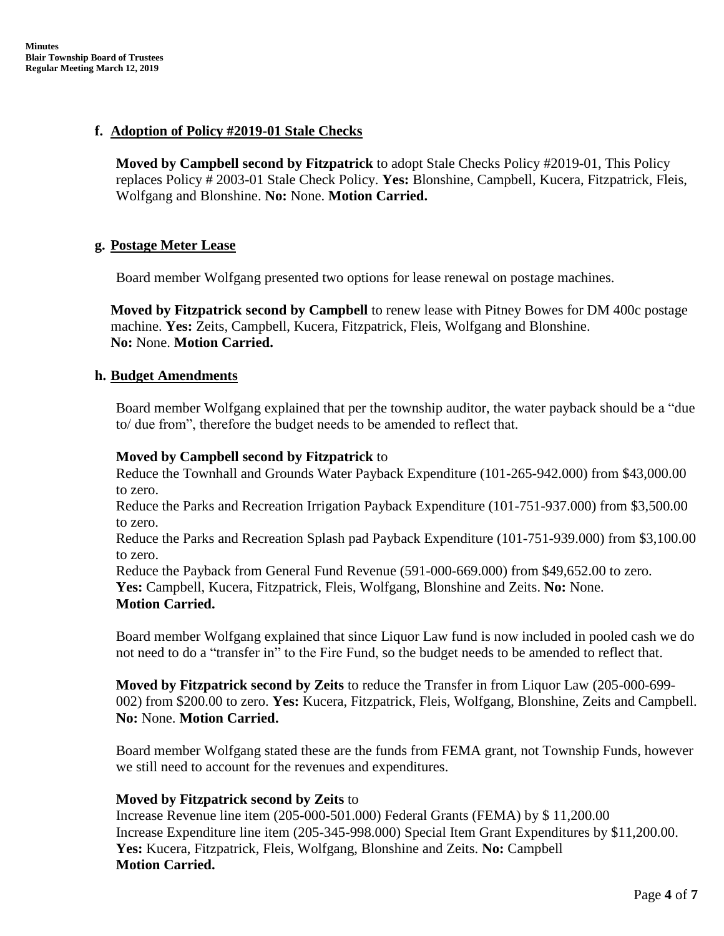# **f. Adoption of Policy #2019-01 Stale Checks**

**Moved by Campbell second by Fitzpatrick** to adopt Stale Checks Policy #2019-01, This Policy replaces Policy # 2003-01 Stale Check Policy. **Yes:** Blonshine, Campbell, Kucera, Fitzpatrick, Fleis, Wolfgang and Blonshine. **No:** None. **Motion Carried.**

## **g. Postage Meter Lease**

Board member Wolfgang presented two options for lease renewal on postage machines.

**Moved by Fitzpatrick second by Campbell** to renew lease with Pitney Bowes for DM 400c postage machine. **Yes:** Zeits, Campbell, Kucera, Fitzpatrick, Fleis, Wolfgang and Blonshine. **No:** None. **Motion Carried.**

## **h. Budget Amendments**

Board member Wolfgang explained that per the township auditor, the water payback should be a "due to/ due from", therefore the budget needs to be amended to reflect that.

## **Moved by Campbell second by Fitzpatrick** to

Reduce the Townhall and Grounds Water Payback Expenditure (101-265-942.000) from \$43,000.00 to zero.

Reduce the Parks and Recreation Irrigation Payback Expenditure (101-751-937.000) from \$3,500.00 to zero.

Reduce the Parks and Recreation Splash pad Payback Expenditure (101-751-939.000) from \$3,100.00 to zero.

Reduce the Payback from General Fund Revenue (591-000-669.000) from \$49,652.00 to zero. **Yes:** Campbell, Kucera, Fitzpatrick, Fleis, Wolfgang, Blonshine and Zeits. **No:** None. **Motion Carried.**

Board member Wolfgang explained that since Liquor Law fund is now included in pooled cash we do not need to do a "transfer in" to the Fire Fund, so the budget needs to be amended to reflect that.

**Moved by Fitzpatrick second by Zeits** to reduce the Transfer in from Liquor Law (205-000-699- 002) from \$200.00 to zero. **Yes:** Kucera, Fitzpatrick, Fleis, Wolfgang, Blonshine, Zeits and Campbell. **No:** None. **Motion Carried.**

Board member Wolfgang stated these are the funds from FEMA grant, not Township Funds, however we still need to account for the revenues and expenditures.

## **Moved by Fitzpatrick second by Zeits** to

Increase Revenue line item (205-000-501.000) Federal Grants (FEMA) by \$ 11,200.00 Increase Expenditure line item (205-345-998.000) Special Item Grant Expenditures by \$11,200.00. **Yes:** Kucera, Fitzpatrick, Fleis, Wolfgang, Blonshine and Zeits. **No:** Campbell **Motion Carried.**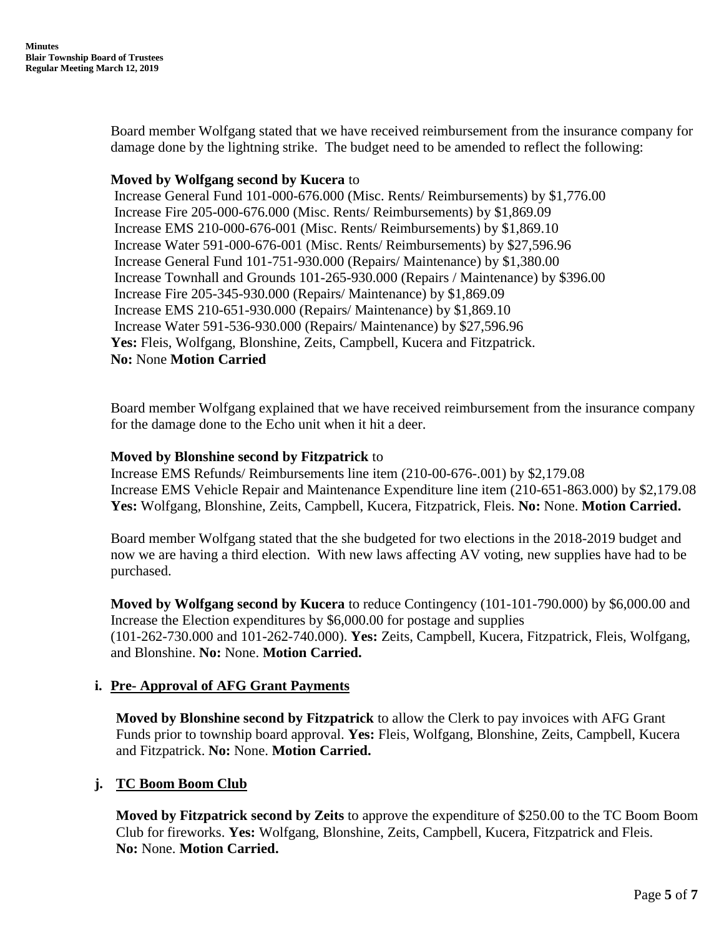Board member Wolfgang stated that we have received reimbursement from the insurance company for damage done by the lightning strike. The budget need to be amended to reflect the following:

## **Moved by Wolfgang second by Kucera** to

Increase General Fund 101-000-676.000 (Misc. Rents/ Reimbursements) by \$1,776.00 Increase Fire 205-000-676.000 (Misc. Rents/ Reimbursements) by \$1,869.09 Increase EMS 210-000-676-001 (Misc. Rents/ Reimbursements) by \$1,869.10 Increase Water 591-000-676-001 (Misc. Rents/ Reimbursements) by \$27,596.96 Increase General Fund 101-751-930.000 (Repairs/ Maintenance) by \$1,380.00 Increase Townhall and Grounds 101-265-930.000 (Repairs / Maintenance) by \$396.00 Increase Fire 205-345-930.000 (Repairs/ Maintenance) by \$1,869.09 Increase EMS 210-651-930.000 (Repairs/ Maintenance) by \$1,869.10 Increase Water 591-536-930.000 (Repairs/ Maintenance) by \$27,596.96 **Yes:** Fleis, Wolfgang, Blonshine, Zeits, Campbell, Kucera and Fitzpatrick. **No:** None **Motion Carried**

Board member Wolfgang explained that we have received reimbursement from the insurance company for the damage done to the Echo unit when it hit a deer.

## **Moved by Blonshine second by Fitzpatrick** to

Increase EMS Refunds/ Reimbursements line item (210-00-676-.001) by \$2,179.08 Increase EMS Vehicle Repair and Maintenance Expenditure line item (210-651-863.000) by \$2,179.08 **Yes:** Wolfgang, Blonshine, Zeits, Campbell, Kucera, Fitzpatrick, Fleis. **No:** None. **Motion Carried.**

Board member Wolfgang stated that the she budgeted for two elections in the 2018-2019 budget and now we are having a third election. With new laws affecting AV voting, new supplies have had to be purchased.

**Moved by Wolfgang second by Kucera** to reduce Contingency (101-101-790.000) by \$6,000.00 and Increase the Election expenditures by \$6,000.00 for postage and supplies (101-262-730.000 and 101-262-740.000). **Yes:** Zeits, Campbell, Kucera, Fitzpatrick, Fleis, Wolfgang, and Blonshine. **No:** None. **Motion Carried.**

## **i. Pre- Approval of AFG Grant Payments**

**Moved by Blonshine second by Fitzpatrick** to allow the Clerk to pay invoices with AFG Grant Funds prior to township board approval. **Yes:** Fleis, Wolfgang, Blonshine, Zeits, Campbell, Kucera and Fitzpatrick. **No:** None. **Motion Carried.**

## **j. TC Boom Boom Club**

**Moved by Fitzpatrick second by Zeits** to approve the expenditure of \$250.00 to the TC Boom Boom Club for fireworks. **Yes:** Wolfgang, Blonshine, Zeits, Campbell, Kucera, Fitzpatrick and Fleis. **No:** None. **Motion Carried.**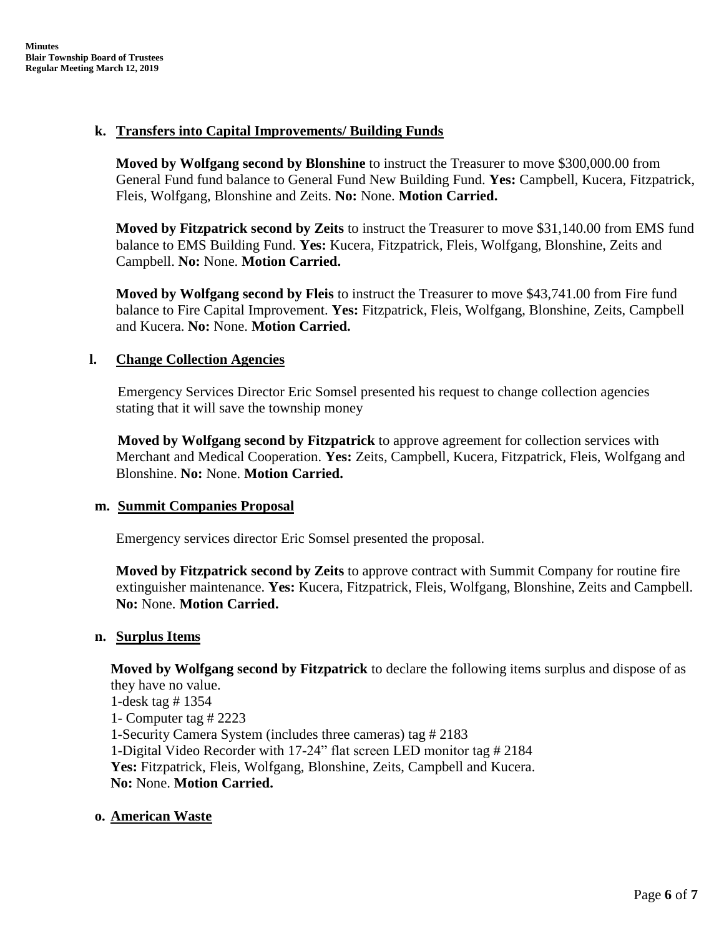## **k. Transfers into Capital Improvements/ Building Funds**

**Moved by Wolfgang second by Blonshine** to instruct the Treasurer to move \$300,000.00 from General Fund fund balance to General Fund New Building Fund. **Yes:** Campbell, Kucera, Fitzpatrick, Fleis, Wolfgang, Blonshine and Zeits. **No:** None. **Motion Carried.**

**Moved by Fitzpatrick second by Zeits** to instruct the Treasurer to move \$31,140.00 from EMS fund balance to EMS Building Fund. **Yes:** Kucera, Fitzpatrick, Fleis, Wolfgang, Blonshine, Zeits and Campbell. **No:** None. **Motion Carried.**

**Moved by Wolfgang second by Fleis** to instruct the Treasurer to move \$43,741.00 from Fire fund balance to Fire Capital Improvement. **Yes:** Fitzpatrick, Fleis, Wolfgang, Blonshine, Zeits, Campbell and Kucera. **No:** None. **Motion Carried.**

## **l. Change Collection Agencies**

 Emergency Services Director Eric Somsel presented his request to change collection agencies stating that it will save the township money

 **Moved by Wolfgang second by Fitzpatrick** to approve agreement for collection services with Merchant and Medical Cooperation. **Yes:** Zeits, Campbell, Kucera, Fitzpatrick, Fleis, Wolfgang and Blonshine. **No:** None. **Motion Carried.**

## **m. Summit Companies Proposal**

Emergency services director Eric Somsel presented the proposal.

**Moved by Fitzpatrick second by Zeits** to approve contract with Summit Company for routine fire extinguisher maintenance. **Yes:** Kucera, Fitzpatrick, Fleis, Wolfgang, Blonshine, Zeits and Campbell. **No:** None. **Motion Carried.**

## **n. Surplus Items**

**Moved by Wolfgang second by Fitzpatrick** to declare the following items surplus and dispose of as they have no value.

1-desk tag # 1354 1- Computer tag # 2223 1-Security Camera System (includes three cameras) tag # 2183 1-Digital Video Recorder with 17-24" flat screen LED monitor tag # 2184 **Yes:** Fitzpatrick, Fleis, Wolfgang, Blonshine, Zeits, Campbell and Kucera. **No:** None. **Motion Carried.**

## **o. American Waste**